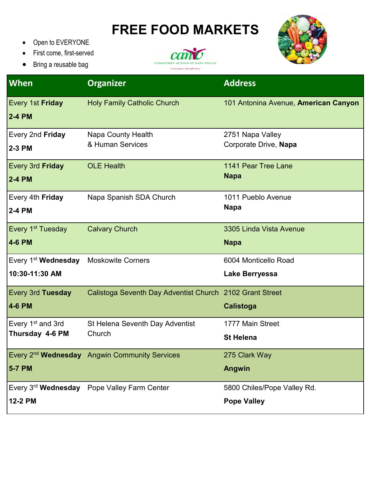## **FREE FOOD MARKETS**

- Open to EVERYONE
- First come, first-served
- Bring a reusable bag





| When                                              | <b>Organizer</b>                                          | <b>Address</b>                                    |
|---------------------------------------------------|-----------------------------------------------------------|---------------------------------------------------|
| Every 1st Friday<br><b>2-4 PM</b>                 | <b>Holy Family Catholic Church</b>                        | 101 Antonina Avenue, American Canyon              |
| Every 2nd Friday<br>2-3 PM                        | Napa County Health<br>& Human Services                    | 2751 Napa Valley<br>Corporate Drive, Napa         |
| Every 3rd Friday<br><b>2-4 PM</b>                 | <b>OLE Health</b>                                         | 1141 Pear Tree Lane<br><b>Napa</b>                |
| Every 4th Friday<br><b>2-4 PM</b>                 | Napa Spanish SDA Church                                   | 1011 Pueblo Avenue<br><b>Napa</b>                 |
| Every 1 <sup>st</sup> Tuesday<br><b>4-6 PM</b>    | <b>Calvary Church</b>                                     | 3305 Linda Vista Avenue<br><b>Napa</b>            |
| Every 1 <sup>st</sup> Wednesday<br>10:30-11:30 AM | <b>Moskowite Corners</b>                                  | 6004 Monticello Road<br>Lake Berryessa            |
| Every 3rd Tuesday<br><b>4-6 PM</b>                | Calistoga Seventh Day Adventist Church 2102 Grant Street  | Calistoga                                         |
| Every 1 <sup>st</sup> and 3rd<br>Thursday 4-6 PM  | St Helena Seventh Day Adventist<br>Church                 | 1777 Main Street<br><b>St Helena</b>              |
| <b>5-7 PM</b>                                     | Every 2 <sup>nd</sup> Wednesday Angwin Community Services | 275 Clark Way<br><b>Angwin</b>                    |
| 12-2 PM                                           | Every 3rd Wednesday Pope Valley Farm Center               | 5800 Chiles/Pope Valley Rd.<br><b>Pope Valley</b> |